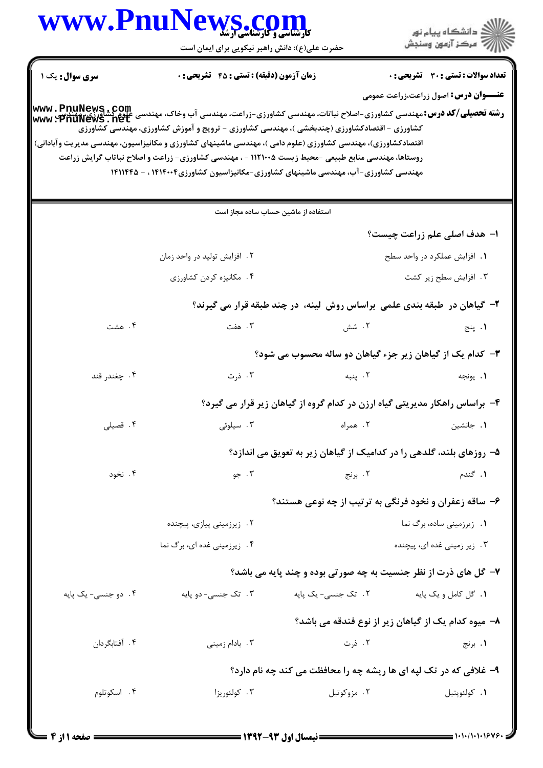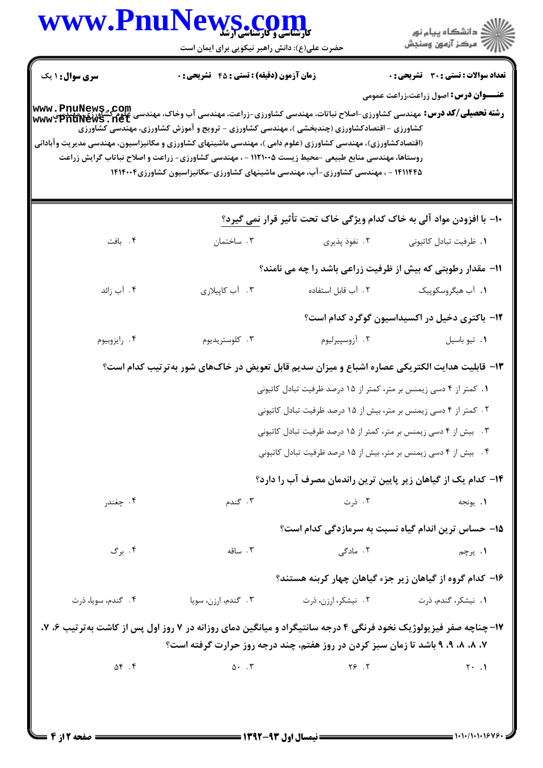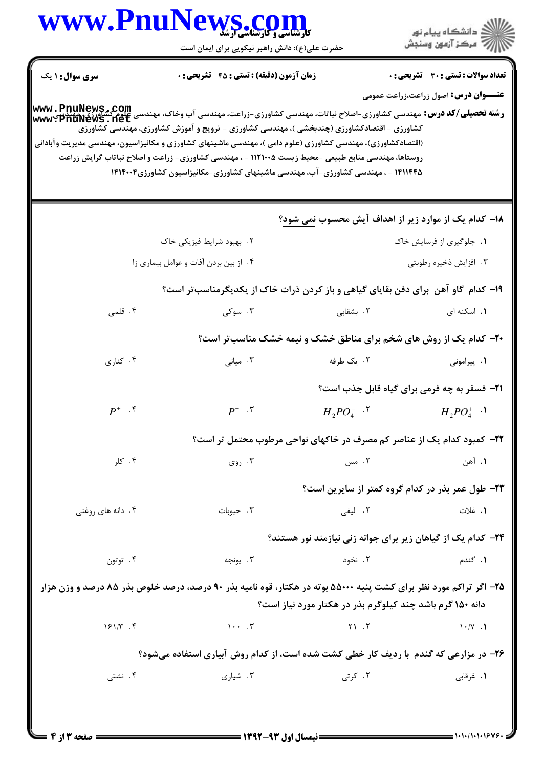